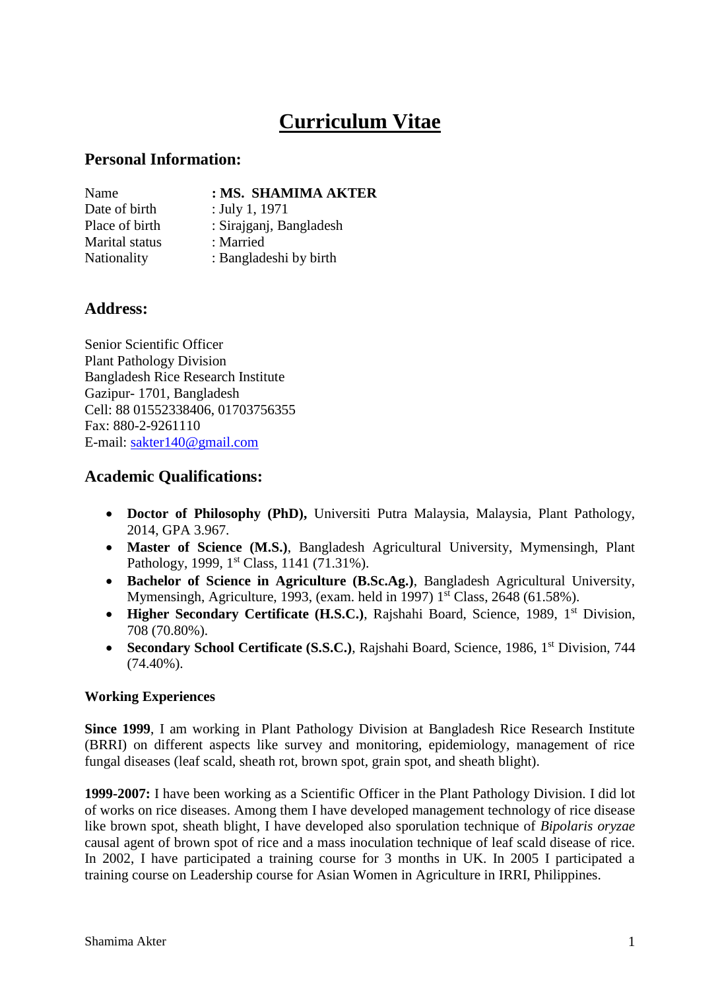# **Curriculum Vitae**

#### **Personal Information:**

# Name **: MS. SHAMIMA AKTER**

Date of birth : July 1, 1971 Place of birth : Sirajganj, Bangladesh Marital status : Married Nationality : Bangladeshi by birth

## **Address:**

Senior Scientific Officer Plant Pathology Division Bangladesh Rice Research Institute Gazipur- 1701, Bangladesh Cell: 88 01552338406, 01703756355 Fax: 880-2-9261110 E-mail: [sakter140@gmail.com](mailto:sakter140@gmail.com)

### **Academic Qualifications:**

- **Doctor of Philosophy (PhD),** Universiti Putra Malaysia, Malaysia, Plant Pathology, 2014, GPA 3.967.
- **Master of Science (M.S.)**, Bangladesh Agricultural University, Mymensingh, Plant Pathology, 1999, 1<sup>st</sup> Class, 1141 (71.31%).
- **Bachelor of Science in Agriculture (B.Sc.Ag.)**, Bangladesh Agricultural University, Mymensingh, Agriculture, 1993, (exam. held in 1997) 1<sup>st</sup> Class, 2648 (61.58%).
- **Higher Secondary Certificate (H.S.C.)**, Rajshahi Board, Science, 1989, 1<sup>st</sup> Division, 708 (70.80%).
- Secondary School Certificate (S.S.C.), Rajshahi Board, Science, 1986, 1<sup>st</sup> Division, 744  $(74.40\%)$ .

#### **Working Experiences**

**Since 1999**, I am working in Plant Pathology Division at Bangladesh Rice Research Institute (BRRI) on different aspects like survey and monitoring, epidemiology, management of rice fungal diseases (leaf scald, sheath rot, brown spot, grain spot, and sheath blight).

**1999-2007:** I have been working as a Scientific Officer in the Plant Pathology Division. I did lot of works on rice diseases. Among them I have developed management technology of rice disease like brown spot, sheath blight, I have developed also sporulation technique of *Bipolaris oryzae* causal agent of brown spot of rice and a mass inoculation technique of leaf scald disease of rice. In 2002, I have participated a training course for 3 months in UK. In 2005 I participated a training course on Leadership course for Asian Women in Agriculture in IRRI, Philippines.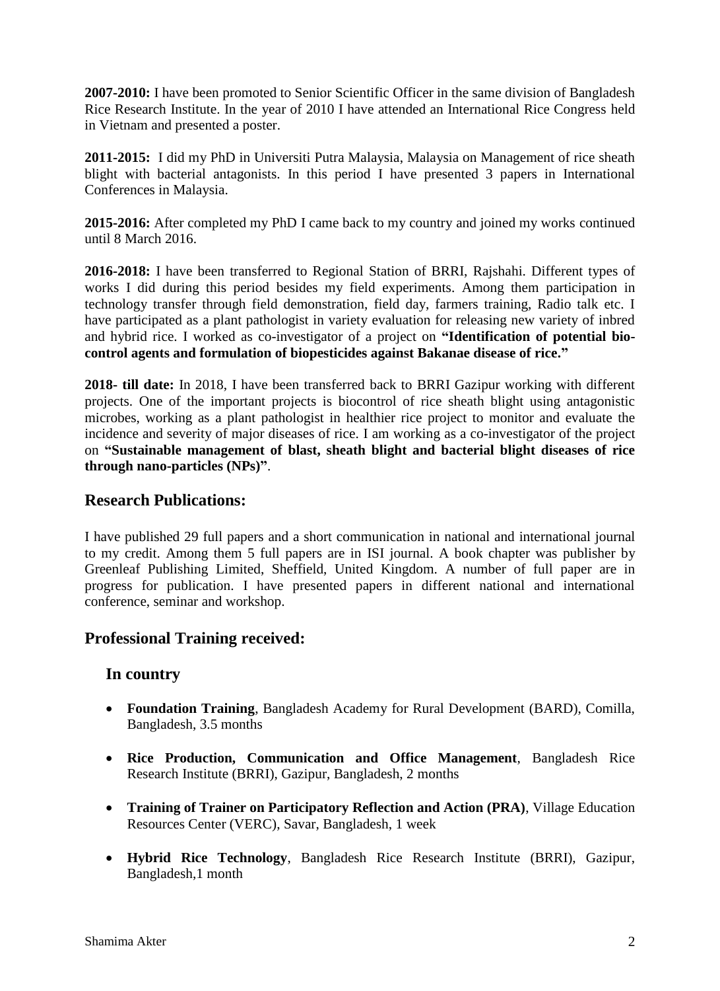**2007-2010:** I have been promoted to Senior Scientific Officer in the same division of Bangladesh Rice Research Institute. In the year of 2010 I have attended an International Rice Congress held in Vietnam and presented a poster.

**2011-2015:** I did my PhD in Universiti Putra Malaysia, Malaysia on Management of rice sheath blight with bacterial antagonists. In this period I have presented 3 papers in International Conferences in Malaysia.

**2015-2016:** After completed my PhD I came back to my country and joined my works continued until 8 March 2016.

**2016-2018:** I have been transferred to Regional Station of BRRI, Rajshahi. Different types of works I did during this period besides my field experiments. Among them participation in technology transfer through field demonstration, field day, farmers training, Radio talk etc. I have participated as a plant pathologist in variety evaluation for releasing new variety of inbred and hybrid rice. I worked as co-investigator of a project on **"Identification of potential biocontrol agents and formulation of biopesticides against Bakanae disease of rice."**

**2018- till date:** In 2018, I have been transferred back to BRRI Gazipur working with different projects. One of the important projects is biocontrol of rice sheath blight using antagonistic microbes, working as a plant pathologist in healthier rice project to monitor and evaluate the incidence and severity of major diseases of rice. I am working as a co-investigator of the project on **"Sustainable management of blast, sheath blight and bacterial blight diseases of rice through nano-particles (NPs)"**.

#### **Research Publications:**

I have published 29 full papers and a short communication in national and international journal to my credit. Among them 5 full papers are in ISI journal. A book chapter was publisher by Greenleaf Publishing Limited, Sheffield, United Kingdom. A number of full paper are in progress for publication. I have presented papers in different national and international conference, seminar and workshop.

#### **Professional Training received:**

#### **In country**

- **Foundation Training**, Bangladesh Academy for Rural Development (BARD), Comilla, Bangladesh, 3.5 months
- **Rice Production, Communication and Office Management**, Bangladesh Rice Research Institute (BRRI), Gazipur, Bangladesh, 2 months
- **Training of Trainer on Participatory Reflection and Action (PRA)**, Village Education Resources Center (VERC), Savar, Bangladesh, 1 week
- **Hybrid Rice Technology**, Bangladesh Rice Research Institute (BRRI), Gazipur, Bangladesh,1 month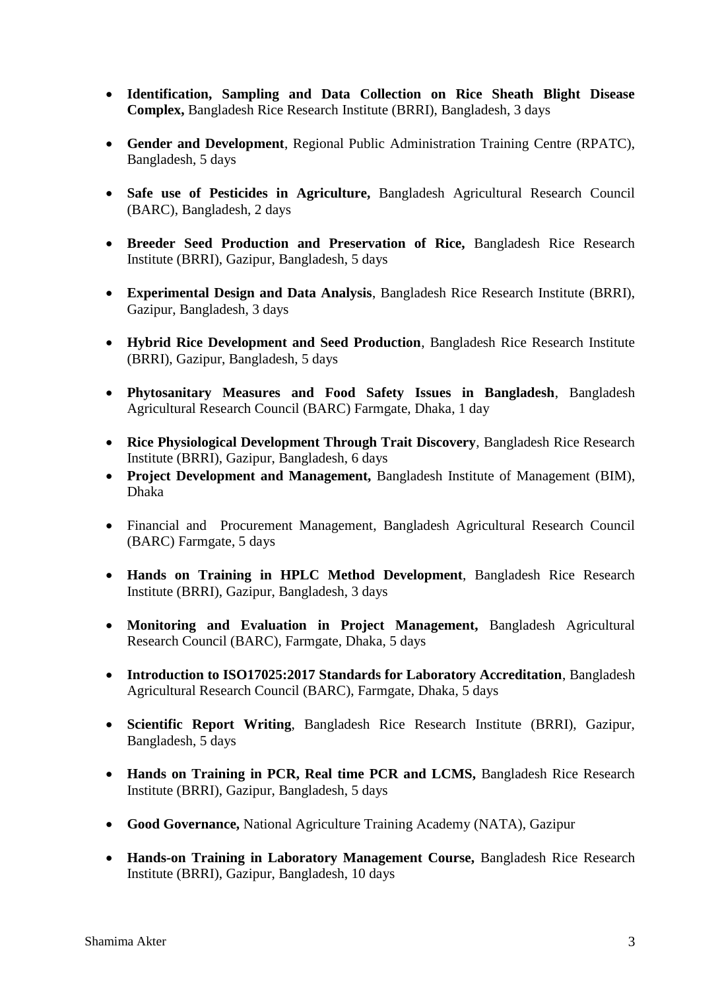- **Identification, Sampling and Data Collection on Rice Sheath Blight Disease Complex,** Bangladesh Rice Research Institute (BRRI), Bangladesh, 3 days
- **Gender and Development**, Regional Public Administration Training Centre (RPATC), Bangladesh, 5 days
- **Safe use of Pesticides in Agriculture,** Bangladesh Agricultural Research Council (BARC), Bangladesh, 2 days
- **Breeder Seed Production and Preservation of Rice,** Bangladesh Rice Research Institute (BRRI), Gazipur, Bangladesh, 5 days
- **Experimental Design and Data Analysis**, Bangladesh Rice Research Institute (BRRI), Gazipur, Bangladesh, 3 days
- **Hybrid Rice Development and Seed Production**, Bangladesh Rice Research Institute (BRRI), Gazipur, Bangladesh, 5 days
- **Phytosanitary Measures and Food Safety Issues in Bangladesh**, Bangladesh Agricultural Research Council (BARC) Farmgate, Dhaka, 1 day
- **Rice Physiological Development Through Trait Discovery**, Bangladesh Rice Research Institute (BRRI), Gazipur, Bangladesh, 6 days
- **Project Development and Management,** Bangladesh Institute of Management (BIM), Dhaka
- Financial and Procurement Management, Bangladesh Agricultural Research Council (BARC) Farmgate, 5 days
- **Hands on Training in HPLC Method Development**, Bangladesh Rice Research Institute (BRRI), Gazipur, Bangladesh, 3 days
- **Monitoring and Evaluation in Project Management,** Bangladesh Agricultural Research Council (BARC), Farmgate, Dhaka, 5 days
- **Introduction to ISO17025:2017 Standards for Laboratory Accreditation**, Bangladesh Agricultural Research Council (BARC), Farmgate, Dhaka, 5 days
- **Scientific Report Writing**, Bangladesh Rice Research Institute (BRRI), Gazipur, Bangladesh, 5 days
- **Hands on Training in PCR, Real time PCR and LCMS,** Bangladesh Rice Research Institute (BRRI), Gazipur, Bangladesh, 5 days
- **Good Governance,** National Agriculture Training Academy (NATA), Gazipur
- **Hands-on Training in Laboratory Management Course,** Bangladesh Rice Research Institute (BRRI), Gazipur, Bangladesh, 10 days